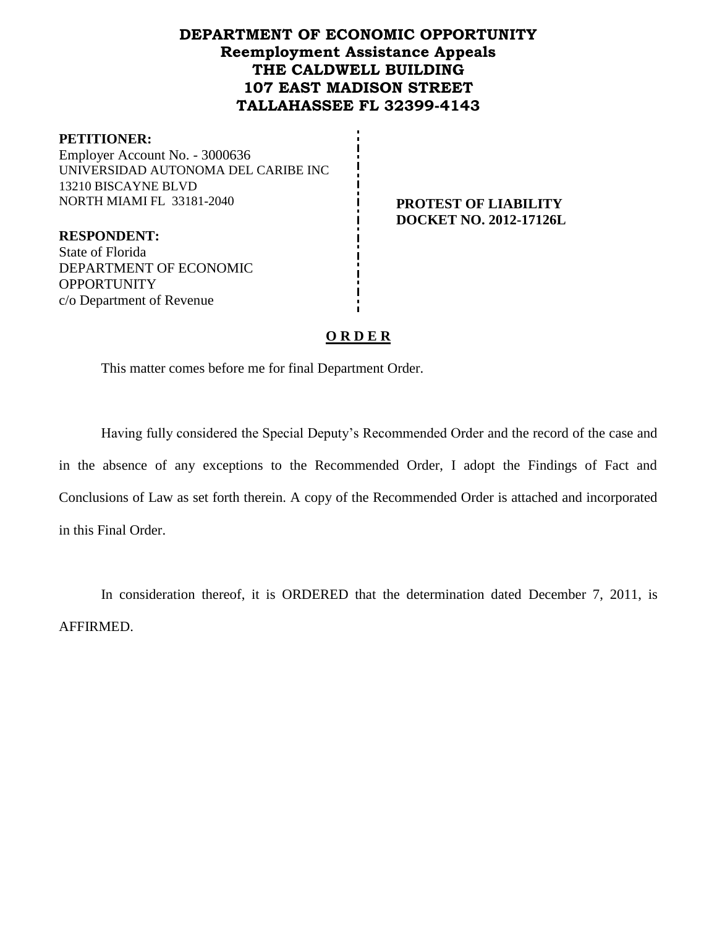## **DEPARTMENT OF ECONOMIC OPPORTUNITY Reemployment Assistance Appeals THE CALDWELL BUILDING 107 EAST MADISON STREET TALLAHASSEE FL 32399-4143**

#### **PETITIONER:**

Employer Account No. - 3000636 UNIVERSIDAD AUTONOMA DEL CARIBE INC 13210 BISCAYNE BLVD NORTH MIAMI FL 33181-2040 **PROTEST OF LIABILITY** 

# **DOCKET NO. 2012-17126L**

**RESPONDENT:** State of Florida DEPARTMENT OF ECONOMIC **OPPORTUNITY** c/o Department of Revenue

## **O R D E R**

This matter comes before me for final Department Order.

Having fully considered the Special Deputy's Recommended Order and the record of the case and in the absence of any exceptions to the Recommended Order, I adopt the Findings of Fact and Conclusions of Law as set forth therein. A copy of the Recommended Order is attached and incorporated in this Final Order.

In consideration thereof, it is ORDERED that the determination dated December 7, 2011, is AFFIRMED.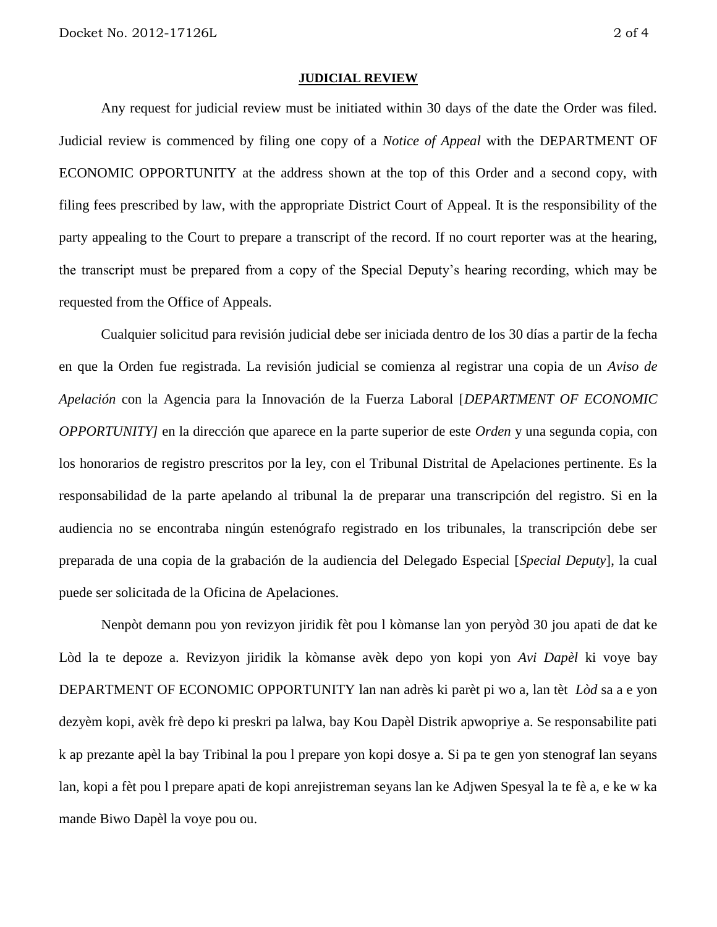#### **JUDICIAL REVIEW**

Any request for judicial review must be initiated within 30 days of the date the Order was filed. Judicial review is commenced by filing one copy of a *Notice of Appeal* with the DEPARTMENT OF ECONOMIC OPPORTUNITY at the address shown at the top of this Order and a second copy, with filing fees prescribed by law, with the appropriate District Court of Appeal. It is the responsibility of the party appealing to the Court to prepare a transcript of the record. If no court reporter was at the hearing, the transcript must be prepared from a copy of the Special Deputy's hearing recording, which may be requested from the Office of Appeals.

Cualquier solicitud para revisión judicial debe ser iniciada dentro de los 30 días a partir de la fecha en que la Orden fue registrada. La revisión judicial se comienza al registrar una copia de un *Aviso de Apelación* con la Agencia para la Innovación de la Fuerza Laboral [*DEPARTMENT OF ECONOMIC OPPORTUNITY]* en la dirección que aparece en la parte superior de este *Orden* y una segunda copia, con los honorarios de registro prescritos por la ley, con el Tribunal Distrital de Apelaciones pertinente. Es la responsabilidad de la parte apelando al tribunal la de preparar una transcripción del registro. Si en la audiencia no se encontraba ningún estenógrafo registrado en los tribunales, la transcripción debe ser preparada de una copia de la grabación de la audiencia del Delegado Especial [*Special Deputy*], la cual puede ser solicitada de la Oficina de Apelaciones.

Nenpòt demann pou yon revizyon jiridik fèt pou l kòmanse lan yon peryòd 30 jou apati de dat ke Lòd la te depoze a. Revizyon jiridik la kòmanse avèk depo yon kopi yon *Avi Dapèl* ki voye bay DEPARTMENT OF ECONOMIC OPPORTUNITY lan nan adrès ki parèt pi wo a, lan tèt *Lòd* sa a e yon dezyèm kopi, avèk frè depo ki preskri pa lalwa, bay Kou Dapèl Distrik apwopriye a. Se responsabilite pati k ap prezante apèl la bay Tribinal la pou l prepare yon kopi dosye a. Si pa te gen yon stenograf lan seyans lan, kopi a fèt pou l prepare apati de kopi anrejistreman seyans lan ke Adjwen Spesyal la te fè a, e ke w ka mande Biwo Dapèl la voye pou ou.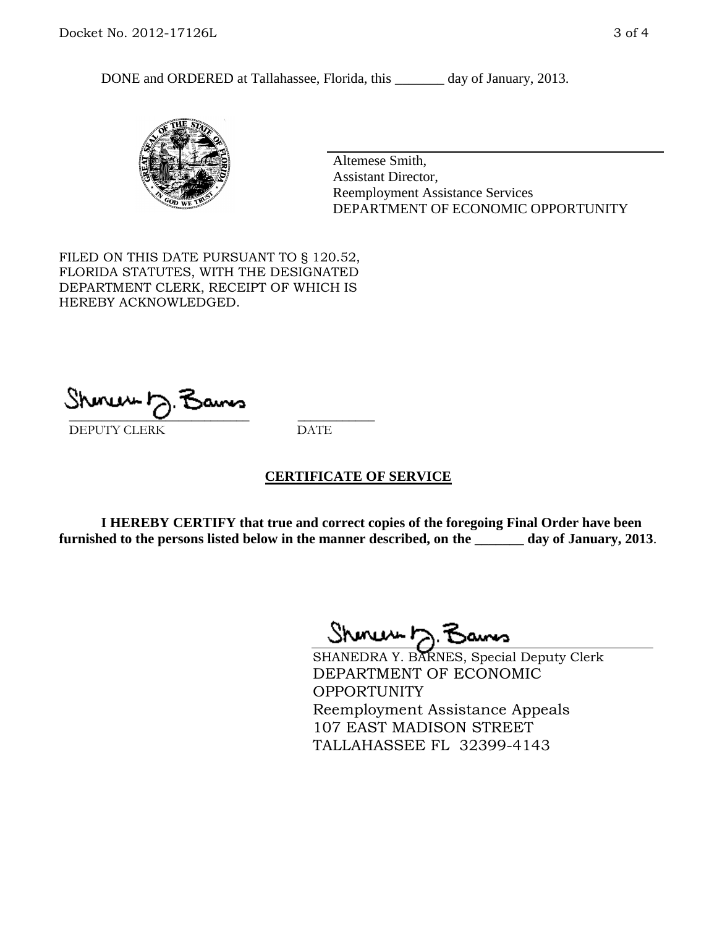DONE and ORDERED at Tallahassee, Florida, this \_\_\_\_\_\_\_ day of January, 2013.



Altemese Smith, Assistant Director, Reemployment Assistance Services DEPARTMENT OF ECONOMIC OPPORTUNITY

FILED ON THIS DATE PURSUANT TO § 120.52, FLORIDA STATUTES, WITH THE DESIGNATED DEPARTMENT CLERK, RECEIPT OF WHICH IS HEREBY ACKNOWLEDGED.

 $\overline{\phantom{a}}$  ,  $\overline{\phantom{a}}$  ,  $\overline{\phantom{a}}$  ,  $\overline{\phantom{a}}$  ,  $\overline{\phantom{a}}$  ,  $\overline{\phantom{a}}$  ,  $\overline{\phantom{a}}$  ,  $\overline{\phantom{a}}$ DEPUTY CLERK DATE

#### **CERTIFICATE OF SERVICE**

**I HEREBY CERTIFY that true and correct copies of the foregoing Final Order have been furnished to the persons listed below in the manner described, on the \_\_\_\_\_\_\_ day of January, 2013**.

Shenux D.F

SHANEDRA Y. BARNES, Special Deputy Clerk DEPARTMENT OF ECONOMIC **OPPORTUNITY** Reemployment Assistance Appeals 107 EAST MADISON STREET TALLAHASSEE FL 32399-4143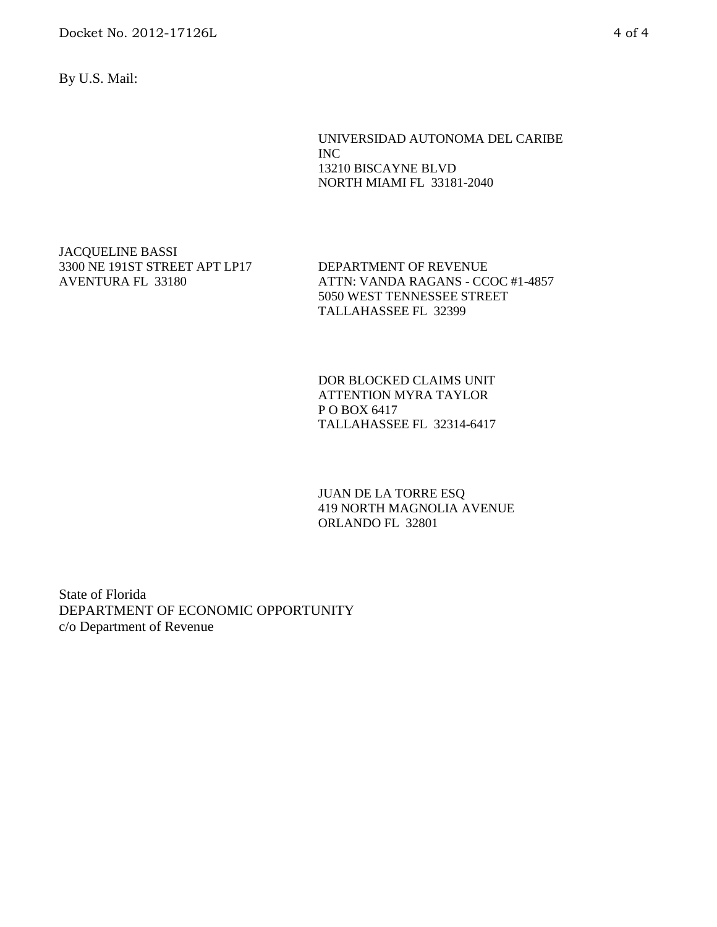Docket No. 2012-17126L 4 of 4

By U.S. Mail:

UNIVERSIDAD AUTONOMA DEL CARIBE INC 13210 BISCAYNE BLVD NORTH MIAMI FL 33181-2040

JACQUELINE BASSI 3300 NE 191ST STREET APT LP17 AVENTURA FL 33180

DEPARTMENT OF REVENUE ATTN: VANDA RAGANS - CCOC #1-4857 5050 WEST TENNESSEE STREET TALLAHASSEE FL 32399

DOR BLOCKED CLAIMS UNIT ATTENTION MYRA TAYLOR P O BOX 6417 TALLAHASSEE FL 32314-6417

JUAN DE LA TORRE ESQ 419 NORTH MAGNOLIA AVENUE ORLANDO FL 32801

State of Florida DEPARTMENT OF ECONOMIC OPPORTUNITY c/o Department of Revenue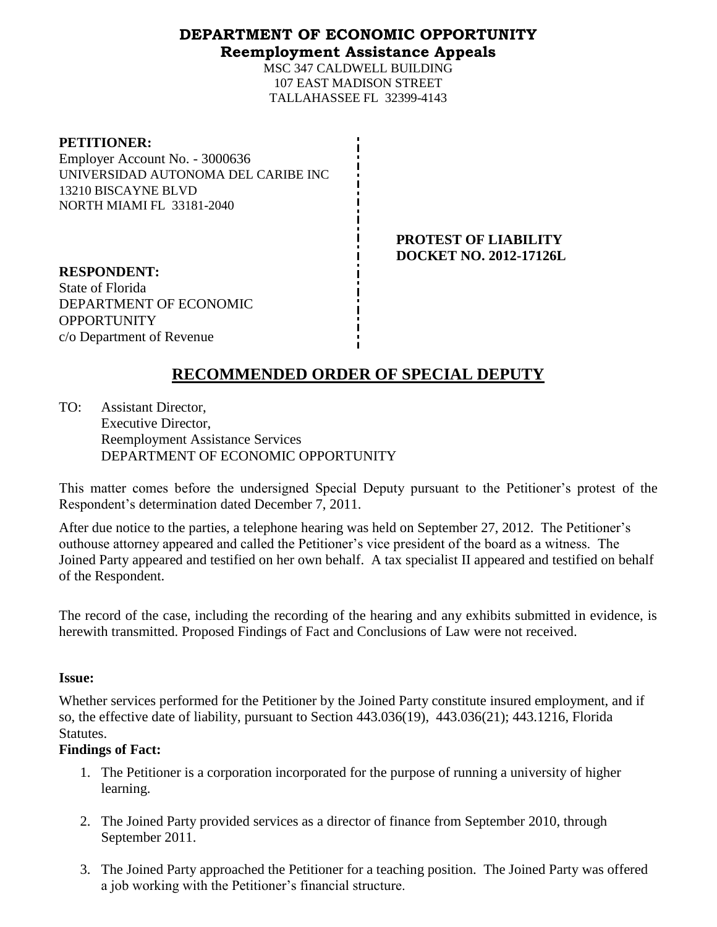## **DEPARTMENT OF ECONOMIC OPPORTUNITY Reemployment Assistance Appeals**

MSC 347 CALDWELL BUILDING 107 EAST MADISON STREET TALLAHASSEE FL 32399-4143

#### **PETITIONER:**

Employer Account No. - 3000636 UNIVERSIDAD AUTONOMA DEL CARIBE INC 13210 BISCAYNE BLVD NORTH MIAMI FL 33181-2040

> **PROTEST OF LIABILITY DOCKET NO. 2012-17126L**

**RESPONDENT:** State of Florida DEPARTMENT OF ECONOMIC **OPPORTUNITY** c/o Department of Revenue

# **RECOMMENDED ORDER OF SPECIAL DEPUTY**

TO: Assistant Director, Executive Director, Reemployment Assistance Services DEPARTMENT OF ECONOMIC OPPORTUNITY

This matter comes before the undersigned Special Deputy pursuant to the Petitioner's protest of the Respondent's determination dated December 7, 2011.

After due notice to the parties, a telephone hearing was held on September 27, 2012. The Petitioner's outhouse attorney appeared and called the Petitioner's vice president of the board as a witness. The Joined Party appeared and testified on her own behalf. A tax specialist II appeared and testified on behalf of the Respondent.

The record of the case, including the recording of the hearing and any exhibits submitted in evidence, is herewith transmitted. Proposed Findings of Fact and Conclusions of Law were not received.

#### **Issue:**

Whether services performed for the Petitioner by the Joined Party constitute insured employment, and if so, the effective date of liability, pursuant to Section 443.036(19), 443.036(21); 443.1216, Florida Statutes.

#### **Findings of Fact:**

- 1. The Petitioner is a corporation incorporated for the purpose of running a university of higher learning.
- 2. The Joined Party provided services as a director of finance from September 2010, through September 2011.
- 3. The Joined Party approached the Petitioner for a teaching position. The Joined Party was offered a job working with the Petitioner's financial structure.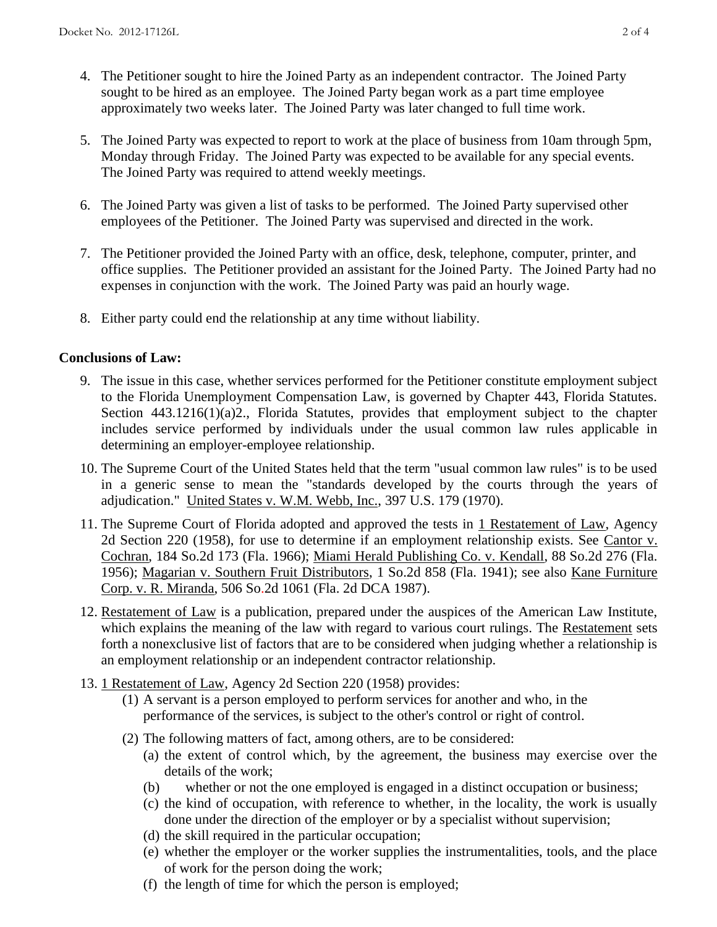- 4. The Petitioner sought to hire the Joined Party as an independent contractor. The Joined Party sought to be hired as an employee. The Joined Party began work as a part time employee approximately two weeks later. The Joined Party was later changed to full time work.
- 5. The Joined Party was expected to report to work at the place of business from 10am through 5pm, Monday through Friday. The Joined Party was expected to be available for any special events. The Joined Party was required to attend weekly meetings.
- 6. The Joined Party was given a list of tasks to be performed. The Joined Party supervised other employees of the Petitioner. The Joined Party was supervised and directed in the work.
- 7. The Petitioner provided the Joined Party with an office, desk, telephone, computer, printer, and office supplies. The Petitioner provided an assistant for the Joined Party. The Joined Party had no expenses in conjunction with the work. The Joined Party was paid an hourly wage.
- 8. Either party could end the relationship at any time without liability.

## **Conclusions of Law:**

- 9. The issue in this case, whether services performed for the Petitioner constitute employment subject to the Florida Unemployment Compensation Law, is governed by Chapter 443, Florida Statutes. Section 443.1216(1)(a)2., Florida Statutes, provides that employment subject to the chapter includes service performed by individuals under the usual common law rules applicable in determining an employer-employee relationship.
- 10. The Supreme Court of the United States held that the term "usual common law rules" is to be used in a generic sense to mean the "standards developed by the courts through the years of adjudication." United States v. W.M. Webb, Inc., 397 U.S. 179 (1970).
- 11. The Supreme Court of Florida adopted and approved the tests in 1 Restatement of Law, Agency 2d Section 220 (1958), for use to determine if an employment relationship exists. See Cantor v. Cochran, 184 So.2d 173 (Fla. 1966); Miami Herald Publishing Co. v. Kendall, 88 So.2d 276 (Fla. 1956); Magarian v. Southern Fruit Distributors, 1 So.2d 858 (Fla. 1941); see also Kane Furniture Corp. v. R. Miranda, 506 So.2d 1061 (Fla. 2d DCA 1987).
- 12. Restatement of Law is a publication, prepared under the auspices of the American Law Institute, which explains the meaning of the law with regard to various court rulings. The Restatement sets forth a nonexclusive list of factors that are to be considered when judging whether a relationship is an employment relationship or an independent contractor relationship.
- 13. 1 Restatement of Law, Agency 2d Section 220 (1958) provides:
	- (1) A servant is a person employed to perform services for another and who, in the performance of the services, is subject to the other's control or right of control.
	- (2) The following matters of fact, among others, are to be considered:
		- (a) the extent of control which, by the agreement, the business may exercise over the details of the work;
		- (b) whether or not the one employed is engaged in a distinct occupation or business;
		- (c) the kind of occupation, with reference to whether, in the locality, the work is usually done under the direction of the employer or by a specialist without supervision;
		- (d) the skill required in the particular occupation;
		- (e) whether the employer or the worker supplies the instrumentalities, tools, and the place of work for the person doing the work;
		- (f) the length of time for which the person is employed;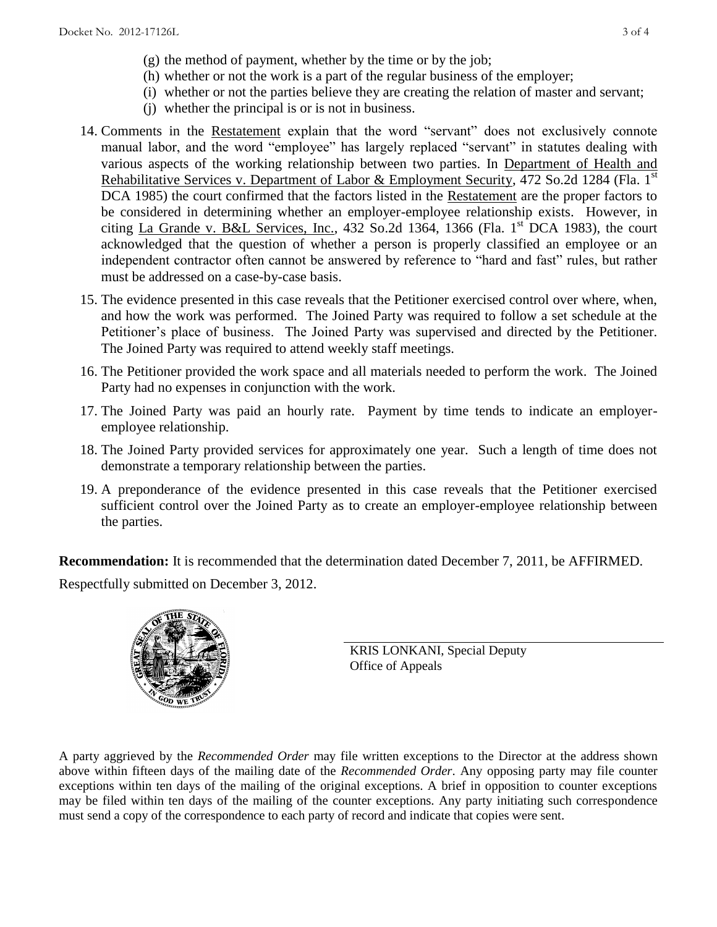- (g) the method of payment, whether by the time or by the job;
- (h) whether or not the work is a part of the regular business of the employer;
- (i) whether or not the parties believe they are creating the relation of master and servant;
- (j) whether the principal is or is not in business.
- 14. Comments in the Restatement explain that the word "servant" does not exclusively connote manual labor, and the word "employee" has largely replaced "servant" in statutes dealing with various aspects of the working relationship between two parties. In Department of Health and Rehabilitative Services v. Department of Labor & Employment Security, 472 So.2d 1284 (Fla. 1<sup>st</sup>) DCA 1985) the court confirmed that the factors listed in the Restatement are the proper factors to be considered in determining whether an employer-employee relationship exists. However, in citing La Grande v. B&L Services, Inc., 432 So.2d 1364, 1366 (Fla. 1<sup>st</sup> DCA 1983), the court acknowledged that the question of whether a person is properly classified an employee or an independent contractor often cannot be answered by reference to "hard and fast" rules, but rather must be addressed on a case-by-case basis.
- 15. The evidence presented in this case reveals that the Petitioner exercised control over where, when, and how the work was performed. The Joined Party was required to follow a set schedule at the Petitioner's place of business. The Joined Party was supervised and directed by the Petitioner. The Joined Party was required to attend weekly staff meetings.
- 16. The Petitioner provided the work space and all materials needed to perform the work. The Joined Party had no expenses in conjunction with the work.
- 17. The Joined Party was paid an hourly rate. Payment by time tends to indicate an employeremployee relationship.
- 18. The Joined Party provided services for approximately one year. Such a length of time does not demonstrate a temporary relationship between the parties.
- 19. A preponderance of the evidence presented in this case reveals that the Petitioner exercised sufficient control over the Joined Party as to create an employer-employee relationship between the parties.

**Recommendation:** It is recommended that the determination dated December 7, 2011, be AFFIRMED.

Respectfully submitted on December 3, 2012.



KRIS LONKANI, Special Deputy Office of Appeals

A party aggrieved by the *Recommended Order* may file written exceptions to the Director at the address shown above within fifteen days of the mailing date of the *Recommended Order*. Any opposing party may file counter exceptions within ten days of the mailing of the original exceptions. A brief in opposition to counter exceptions may be filed within ten days of the mailing of the counter exceptions. Any party initiating such correspondence must send a copy of the correspondence to each party of record and indicate that copies were sent.